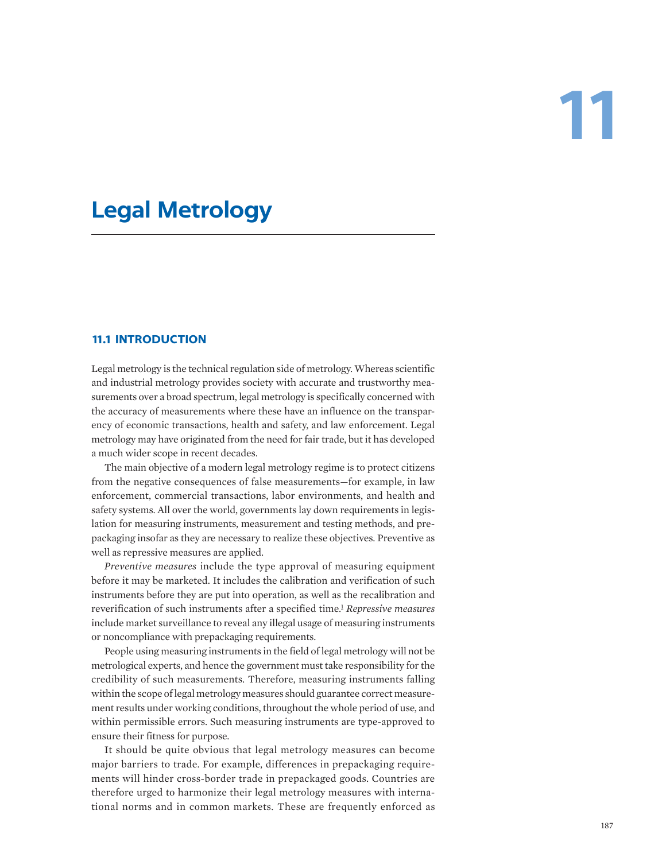# **11**

# **Legal Metrology**

# **11.1 INTRODUCTION**

Legal metrology is the technical regulation side of metrology. Whereas scientific and industrial metrology provides society with accurate and trustworthy measurements over a broad spectrum, legal metrology is specifically concerned with the accuracy of measurements where these have an influence on the transparency of economic transactions, health and safety, and law enforcement. Legal metrology may have originated from the need for fair trade, but it has developed a much wider scope in recent decades.

The main objective of a modern legal metrology regime is to protect citizens from the negative consequences of false measurements—for example, in law enforcement, commercial transactions, labor environments, and health and safety systems. All over the world, governments lay down requirements in legislation for measuring instruments, measurement and testing methods, and prepackaging insofar as they are necessary to realize these objectives. Preventive as well as repressive measures are applied.

<span id="page-0-0"></span>*Preventive measures* include the type approval of measuring equipment before it may be marketed. It includes the calibration and verification of such instruments before they are put into operation, as well as the recalibration and reverification of such instruments after a specified time.[1](#page-20-0) *Repressive measures* include market surveillance to reveal any illegal usage of measuring instruments or noncompliance with prepackaging requirements.

People using measuring instruments in the field of legal metrology will not be metrological experts, and hence the government must take responsibility for the credibility of such measurements. Therefore, measuring instruments falling within the scope of legal metrology measures should guarantee correct measurement results under working conditions, throughout the whole period of use, and within permissible errors. Such measuring instruments are type-approved to ensure their fitness for purpose.

It should be quite obvious that legal metrology measures can become major barriers to trade. For example, differences in prepackaging requirements will hinder cross-border trade in prepackaged goods. Countries are therefore urged to harmonize their legal metrology measures with international norms and in common markets. These are frequently enforced as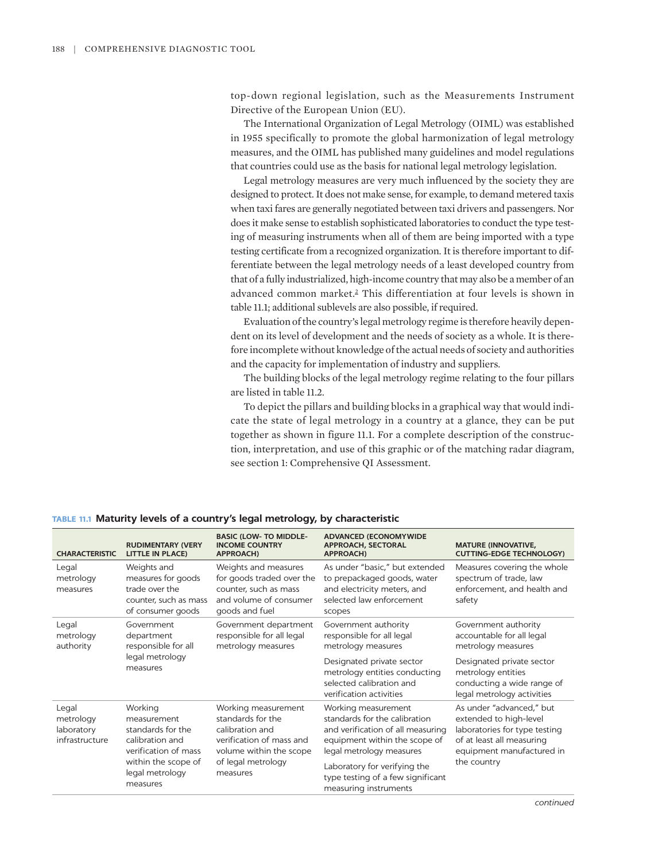top-down regional legislation, such as the Measurements Instrument Directive of the European Union (EU).

The International Organization of Legal Metrology (OIML) was established in 1955 specifically to promote the global harmonization of legal metrology measures, and the OIML has published many guidelines and model regulations that countries could use as the basis for national legal metrology legislation.

Legal metrology measures are very much influenced by the society they are designed to protect. It does not make sense, for example, to demand metered taxis when taxi fares are generally negotiated between taxi drivers and passengers. Nor does it make sense to establish sophisticated laboratories to conduct the type testing of measuring instruments when all of them are being imported with a type testing certificate from a recognized organization. It is therefore important to differentiate between the legal metrology needs of a least developed country from that of a fully industrialized, high-income country that may also be a member of an advanced common market[.2](#page-20-1) This differentiation at four levels is shown in table 11.1; additional sublevels are also possible, if required.

<span id="page-1-0"></span>Evaluation of the country's legal metrology regime is therefore heavily dependent on its level of development and the needs of society as a whole. It is therefore incomplete without knowledge of the actual needs of society and authorities and the capacity for implementation of industry and suppliers.

The building blocks of the legal metrology regime relating to the four pillars are listed in table 11.2.

To depict the pillars and building blocks in a graphical way that would indicate the state of legal metrology in a country at a glance, they can be put together as shown in figure 11.1. For a complete description of the construction, interpretation, and use of this graphic or of the matching radar diagram, see section 1: Comprehensive QI Assessment.

| <b>CHARACTERISTIC</b>                              | <b>RUDIMENTARY (VERY</b><br><b>LITTLE IN PLACE)</b>                                                                                          | <b>BASIC (LOW- TO MIDDLE-</b><br><b>INCOME COUNTRY</b><br><b>APPROACH)</b>                                                                           | <b>ADVANCED (ECONOMYWIDE</b><br><b>APPROACH, SECTORAL</b><br><b>APPROACH)</b>                                                                                                                                                                        | <b>MATURE (INNOVATIVE,</b><br><b>CUTTING-EDGE TECHNOLOGY)</b>                                                                                                                          |
|----------------------------------------------------|----------------------------------------------------------------------------------------------------------------------------------------------|------------------------------------------------------------------------------------------------------------------------------------------------------|------------------------------------------------------------------------------------------------------------------------------------------------------------------------------------------------------------------------------------------------------|----------------------------------------------------------------------------------------------------------------------------------------------------------------------------------------|
| Legal<br>metrology<br>measures                     | Weights and<br>measures for goods<br>trade over the<br>counter, such as mass<br>of consumer goods                                            | Weights and measures<br>for goods traded over the<br>counter, such as mass<br>and volume of consumer<br>goods and fuel                               | As under "basic," but extended<br>to prepackaged goods, water<br>and electricity meters, and<br>selected law enforcement<br>scopes                                                                                                                   | Measures covering the whole<br>spectrum of trade, law<br>enforcement, and health and<br>safety                                                                                         |
| Legal<br>metrology<br>authority                    | Government<br>department<br>responsible for all<br>legal metrology<br>measures                                                               | Government department<br>responsible for all legal<br>metrology measures                                                                             | Government authority<br>responsible for all legal<br>metrology measures<br>Designated private sector<br>metrology entities conducting<br>selected calibration and<br>verification activities                                                         | Government authority<br>accountable for all legal<br>metrology measures<br>Designated private sector<br>metrology entities<br>conducting a wide range of<br>legal metrology activities |
| Legal<br>metrology<br>laboratory<br>infrastructure | Working<br>measurement<br>standards for the<br>calibration and<br>verification of mass<br>within the scope of<br>legal metrology<br>measures | Working measurement<br>standards for the<br>calibration and<br>verification of mass and<br>volume within the scope<br>of legal metrology<br>measures | Working measurement<br>standards for the calibration<br>and verification of all measuring<br>equipment within the scope of<br>legal metrology measures<br>Laboratory for verifying the<br>type testing of a few significant<br>measuring instruments | As under "advanced," but<br>extended to high-level<br>laboratories for type testing<br>of at least all measuring<br>equipment manufactured in<br>the country                           |

# **TABLE 11.1 Maturity levels of a country's legal metrology, by characteristic**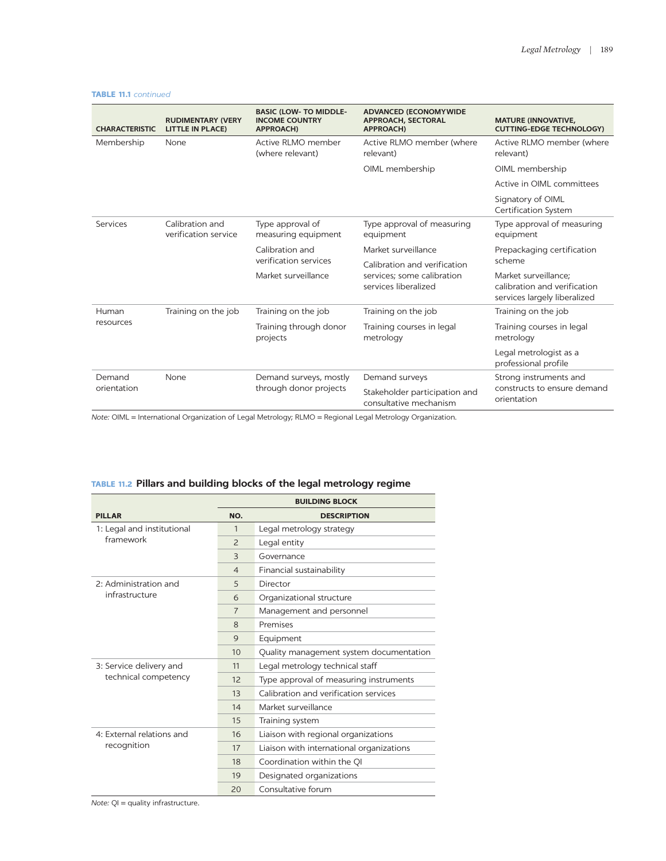| <b>CHARACTERISTIC</b> | <b>RUDIMENTARY (VERY</b><br><b>LITTLE IN PLACE)</b> | <b>BASIC (LOW- TO MIDDLE-</b><br><b>INCOME COUNTRY</b><br><b>APPROACH)</b> | <b>ADVANCED (ECONOMYWIDE</b><br><b>APPROACH, SECTORAL</b><br><b>APPROACH)</b>      | <b>MATURE (INNOVATIVE,</b><br><b>CUTTING-EDGE TECHNOLOGY)</b>                        |
|-----------------------|-----------------------------------------------------|----------------------------------------------------------------------------|------------------------------------------------------------------------------------|--------------------------------------------------------------------------------------|
| Membership            | None                                                | Active RLMO member<br>(where relevant)                                     | Active RLMO member (where<br>relevant)                                             | Active RLMO member (where<br>relevant)                                               |
|                       |                                                     |                                                                            | OIML membership                                                                    | OIML membership                                                                      |
|                       |                                                     |                                                                            |                                                                                    | Active in OIML committees                                                            |
|                       |                                                     |                                                                            |                                                                                    | Signatory of OIML<br><b>Certification System</b>                                     |
| Services              | Calibration and<br>verification service             | Type approval of<br>measuring equipment                                    | Type approval of measuring<br>equipment                                            | Type approval of measuring<br>equipment                                              |
|                       |                                                     | Calibration and<br>verification services<br>Market surveillance            | Market surveillance                                                                | Prepackaging certification                                                           |
|                       |                                                     |                                                                            | Calibration and verification<br>services: some calibration<br>services liberalized | scheme                                                                               |
|                       |                                                     |                                                                            |                                                                                    | Market surveillance:<br>calibration and verification<br>services largely liberalized |
| Human                 | Training on the job                                 | Training on the job                                                        | Training on the job                                                                | Training on the job                                                                  |
| resources             |                                                     | Training through donor<br>projects                                         | Training courses in legal<br>metrology                                             | Training courses in legal<br>metrology                                               |
|                       |                                                     |                                                                            |                                                                                    | Legal metrologist as a<br>professional profile                                       |
| Demand                | None                                                | Demand surveys, mostly<br>through donor projects                           | Demand surveys                                                                     | Strong instruments and<br>constructs to ensure demand<br>orientation                 |
| orientation           |                                                     |                                                                            | Stakeholder participation and<br>consultative mechanism                            |                                                                                      |

### **TABLE 11.1** *continued*

*Note:* OIML = International Organization of Legal Metrology; RLMO = Regional Legal Metrology Organization.

|  |                                         | <b>BUILDING BLOCK</b> |                                          |
|--|-----------------------------------------|-----------------------|------------------------------------------|
|  | <b>PILLAR</b>                           | NO.                   | <b>DESCRIPTION</b>                       |
|  | 1: Legal and institutional<br>framework | $\mathbf{1}$          | Legal metrology strategy                 |
|  |                                         | $\overline{2}$        | Legal entity                             |
|  |                                         | 3                     | Governance                               |
|  |                                         | $\overline{4}$        | Financial sustainability                 |
|  | 2: Administration and                   | 5                     | Director                                 |
|  | infrastructure                          | 6                     | Organizational structure                 |
|  |                                         | $\overline{7}$        | Management and personnel                 |
|  |                                         | 8                     | Premises                                 |
|  |                                         | 9                     | Equipment                                |
|  |                                         | 10                    | Quality management system documentation  |
|  | 3: Service delivery and                 | 11                    | Legal metrology technical staff          |
|  | technical competency                    | 12                    | Type approval of measuring instruments   |
|  |                                         | 13                    | Calibration and verification services    |
|  |                                         | 14                    | Market surveillance                      |
|  |                                         | 15                    | Training system                          |
|  | 4: External relations and               | 16                    | Liaison with regional organizations      |
|  | recognition                             | 17                    | Liaison with international organizations |
|  |                                         | 18                    | Coordination within the QI               |
|  |                                         | 19                    | Designated organizations                 |
|  |                                         | 20                    | Consultative forum                       |

# **TABLE 11.2 Pillars and building blocks of the legal metrology regime**

*Note:* QI = quality infrastructure.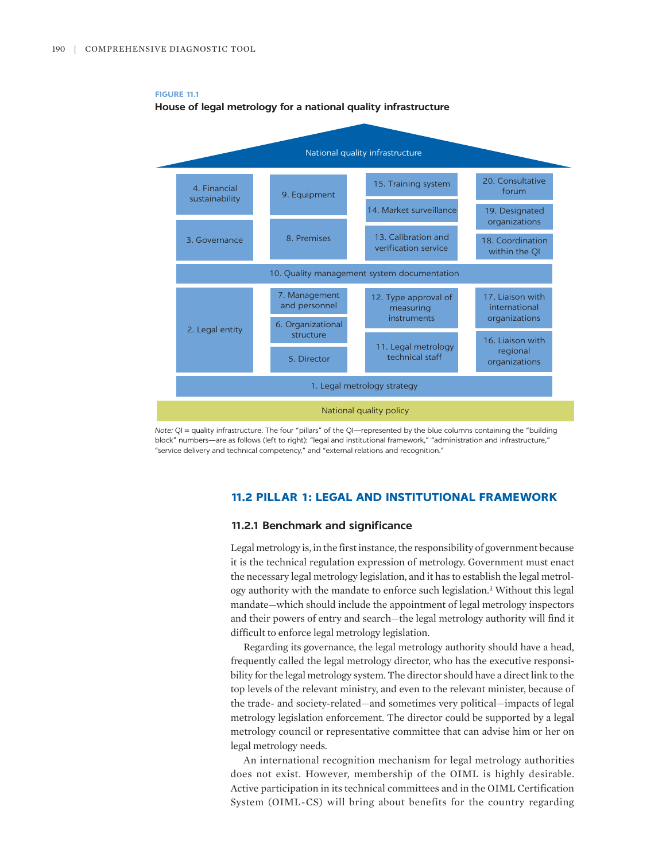

**FIGURE 11.1 House of legal metrology for a national quality infrastructure**

*Note:* QI = quality infrastructure. The four "pillars" of the QI—represented by the blue columns containing the "building block" numbers—are as follows (left to right): "legal and institutional framework," "administration and infrastructure," "service delivery and technical competency," and "external relations and recognition."

# **11.2 PILLAR 1: LEGAL AND INSTITUTIONAL FRAMEWORK**

# **11.2.1 Benchmark and significance**

<span id="page-3-0"></span>Legal metrology is, in the first instance, the responsibility of government because it is the technical regulation expression of metrology. Government must enact the necessary legal metrology legislation, and it has to establish the legal metrology authority with the mandate to enforce such legislation.<sup>3</sup> Without this legal mandate—which should include the appointment of legal metrology inspectors and their powers of entry and search—the legal metrology authority will find it difficult to enforce legal metrology legislation.

Regarding its governance, the legal metrology authority should have a head, frequently called the legal metrology director, who has the executive responsibility for the legal metrology system. The director should have a direct link to the top levels of the relevant ministry, and even to the relevant minister, because of the trade- and society-related—and sometimes very political—impacts of legal metrology legislation enforcement. The director could be supported by a legal metrology council or representative committee that can advise him or her on legal metrology needs.

An international recognition mechanism for legal metrology authorities does not exist. However, membership of the OIML is highly desirable. Active participation in its technical committees and in the OIML Certification System (OIML-CS) will bring about benefits for the country regarding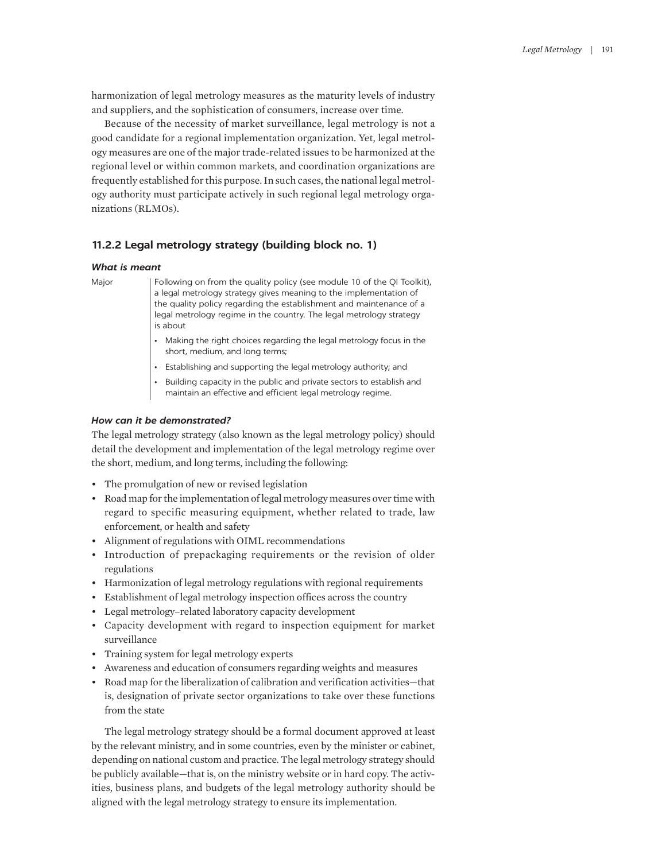harmonization of legal metrology measures as the maturity levels of industry and suppliers, and the sophistication of consumers, increase over time.

Because of the necessity of market surveillance, legal metrology is not a good candidate for a regional implementation organization. Yet, legal metrology measures are one of the major trade-related issues to be harmonized at the regional level or within common markets, and coordination organizations are frequently established for this purpose. In such cases, the national legal metrology authority must participate actively in such regional legal metrology organizations (RLMOs).

# **11.2.2 Legal metrology strategy (building block no. 1)**

### *What is meant*

Major | Following on from the quality policy (see module 10 of the QI Toolkit), a legal metrology strategy gives meaning to the implementation of the quality policy regarding the establishment and maintenance of a legal metrology regime in the country. The legal metrology strategy is about

- Making the right choices regarding the legal metrology focus in the short, medium, and long terms;
- Establishing and supporting the legal metrology authority; and
- Building capacity in the public and private sectors to establish and maintain an effective and efficient legal metrology regime.

# *How can it be demonstrated?*

The legal metrology strategy (also known as the legal metrology policy) should detail the development and implementation of the legal metrology regime over the short, medium, and long terms, including the following:

- The promulgation of new or revised legislation
- Road map for the implementation of legal metrology measures over time with regard to specific measuring equipment, whether related to trade, law enforcement, or health and safety
- Alignment of regulations with OIML recommendations
- Introduction of prepackaging requirements or the revision of older regulations
- Harmonization of legal metrology regulations with regional requirements
- Establishment of legal metrology inspection offices across the country
- Legal metrology–related laboratory capacity development
- Capacity development with regard to inspection equipment for market surveillance
- Training system for legal metrology experts
- Awareness and education of consumers regarding weights and measures
- Road map for the liberalization of calibration and verification activities—that is, designation of private sector organizations to take over these functions from the state

The legal metrology strategy should be a formal document approved at least by the relevant ministry, and in some countries, even by the minister or cabinet, depending on national custom and practice. The legal metrology strategy should be publicly available—that is, on the ministry website or in hard copy. The activities, business plans, and budgets of the legal metrology authority should be aligned with the legal metrology strategy to ensure its implementation.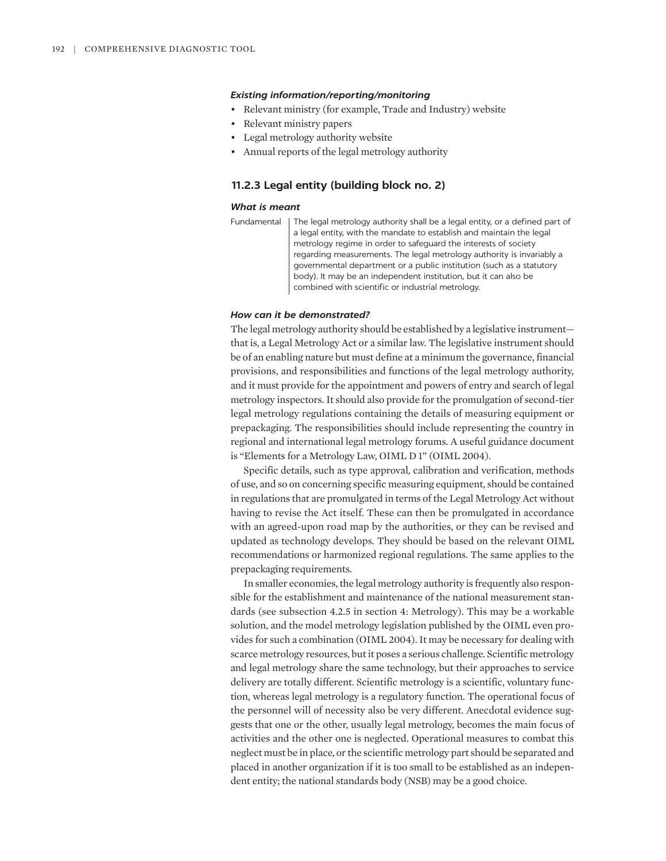# *Existing information/reporting/monitoring*

- Relevant ministry (for example, Trade and Industry) website
- Relevant ministry papers
- Legal metrology authority website
- Annual reports of the legal metrology authority

# **11.2.3 Legal entity (building block no. 2)**

### *What is meant*

```
Fundamental | The legal metrology authority shall be a legal entity, or a defined part of
    a legal entity, with the mandate to establish and maintain the legal 
    metrology regime in order to safeguard the interests of society 
    regarding measurements. The legal metrology authority is invariably a 
    governmental department or a public institution (such as a statutory 
    body). It may be an independent institution, but it can also be 
    combined with scientific or industrial metrology.
```
### *How can it be demonstrated?*

The legal metrology authority should be established by a legislative instrument that is, a Legal Metrology Act or a similar law. The legislative instrument should be of an enabling nature but must define at a minimum the governance, financial provisions, and responsibilities and functions of the legal metrology authority, and it must provide for the appointment and powers of entry and search of legal metrology inspectors. It should also provide for the promulgation of second-tier legal metrology regulations containing the details of measuring equipment or prepackaging. The responsibilities should include representing the country in regional and international legal metrology forums. A useful guidance document is "Elements for a Metrology Law, OIML D 1" (OIML 2004).

Specific details, such as type approval, calibration and verification, methods of use, and so on concerning specific measuring equipment, should be contained in regulations that are promulgated in terms of the Legal Metrology Act without having to revise the Act itself. These can then be promulgated in accordance with an agreed-upon road map by the authorities, or they can be revised and updated as technology develops. They should be based on the relevant OIML recommendations or harmonized regional regulations. The same applies to the prepackaging requirements.

In smaller economies, the legal metrology authority is frequently also responsible for the establishment and maintenance of the national measurement standards (see subsection 4.2.5 in section 4: Metrology). This may be a workable solution, and the model metrology legislation published by the OIML even provides for such a combination (OIML 2004). It may be necessary for dealing with scarce metrology resources, but it poses a serious challenge. Scientific metrology and legal metrology share the same technology, but their approaches to service delivery are totally different. Scientific metrology is a scientific, voluntary function, whereas legal metrology is a regulatory function. The operational focus of the personnel will of necessity also be very different. Anecdotal evidence suggests that one or the other, usually legal metrology, becomes the main focus of activities and the other one is neglected. Operational measures to combat this neglect must be in place, or the scientific metrology part should be separated and placed in another organization if it is too small to be established as an independent entity; the national standards body (NSB) may be a good choice.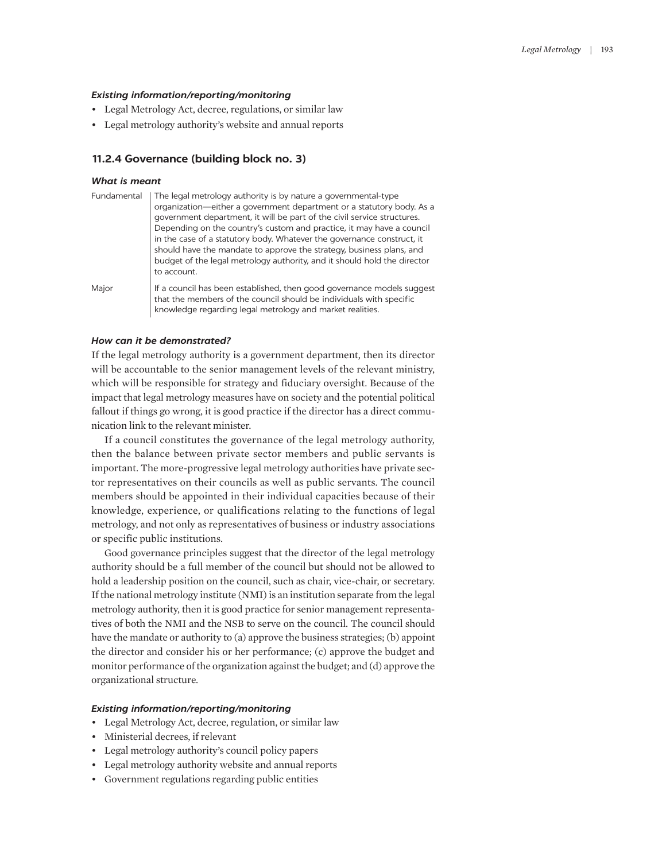### *Existing information/reporting/monitoring*

- Legal Metrology Act, decree, regulations, or similar law
- Legal metrology authority's website and annual reports

### **11.2.4 Governance (building block no. 3)**

# *What is meant*

| Fundamental | The legal metrology authority is by nature a governmental-type           |  |  |
|-------------|--------------------------------------------------------------------------|--|--|
|             | organization—either a government department or a statutory body. As a    |  |  |
|             | government department, it will be part of the civil service structures.  |  |  |
|             | Depending on the country's custom and practice, it may have a council    |  |  |
|             | in the case of a statutory body. Whatever the governance construct, it   |  |  |
|             | should have the mandate to approve the strategy, business plans, and     |  |  |
|             | budget of the legal metrology authority, and it should hold the director |  |  |
|             | to account.                                                              |  |  |
| Major       | If a council has been established, then good governance models suggest   |  |  |
|             | that the members of the council should be individuals with specific      |  |  |
|             | knowledge regarding legal metrology and market realities.                |  |  |

### *How can it be demonstrated?*

If the legal metrology authority is a government department, then its director will be accountable to the senior management levels of the relevant ministry, which will be responsible for strategy and fiduciary oversight. Because of the impact that legal metrology measures have on society and the potential political fallout if things go wrong, it is good practice if the director has a direct communication link to the relevant minister.

If a council constitutes the governance of the legal metrology authority, then the balance between private sector members and public servants is important. The more-progressive legal metrology authorities have private sector representatives on their councils as well as public servants. The council members should be appointed in their individual capacities because of their knowledge, experience, or qualifications relating to the functions of legal metrology, and not only as representatives of business or industry associations or specific public institutions.

Good governance principles suggest that the director of the legal metrology authority should be a full member of the council but should not be allowed to hold a leadership position on the council, such as chair, vice-chair, or secretary. If the national metrology institute (NMI) is an institution separate from the legal metrology authority, then it is good practice for senior management representatives of both the NMI and the NSB to serve on the council. The council should have the mandate or authority to (a) approve the business strategies; (b) appoint the director and consider his or her performance; (c) approve the budget and monitor performance of the organization against the budget; and (d) approve the organizational structure.

- Legal Metrology Act, decree, regulation, or similar law
- Ministerial decrees, if relevant
- Legal metrology authority's council policy papers
- Legal metrology authority website and annual reports
- Government regulations regarding public entities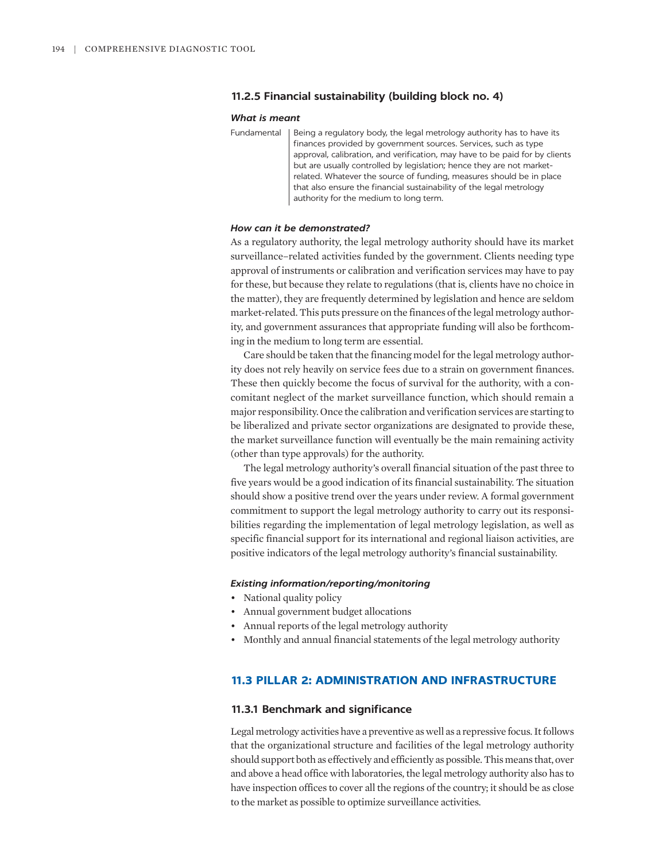# **11.2.5 Financial sustainability (building block no. 4)**

### *What is meant*

Fundamental | Being a regulatory body, the legal metrology authority has to have its finances provided by government sources. Services, such as type approval, calibration, and verification, may have to be paid for by clients but are usually controlled by legislation; hence they are not marketrelated. Whatever the source of funding, measures should be in place that also ensure the financial sustainability of the legal metrology authority for the medium to long term.

### *How can it be demonstrated?*

As a regulatory authority, the legal metrology authority should have its market surveillance–related activities funded by the government. Clients needing type approval of instruments or calibration and verification services may have to pay for these, but because they relate to regulations (that is, clients have no choice in the matter), they are frequently determined by legislation and hence are seldom market-related. This puts pressure on the finances of the legal metrology authority, and government assurances that appropriate funding will also be forthcoming in the medium to long term are essential.

Care should be taken that the financing model for the legal metrology authority does not rely heavily on service fees due to a strain on government finances. These then quickly become the focus of survival for the authority, with a concomitant neglect of the market surveillance function, which should remain a major responsibility. Once the calibration and verification services are starting to be liberalized and private sector organizations are designated to provide these, the market surveillance function will eventually be the main remaining activity (other than type approvals) for the authority.

The legal metrology authority's overall financial situation of the past three to five years would be a good indication of its financial sustainability. The situation should show a positive trend over the years under review. A formal government commitment to support the legal metrology authority to carry out its responsibilities regarding the implementation of legal metrology legislation, as well as specific financial support for its international and regional liaison activities, are positive indicators of the legal metrology authority's financial sustainability.

### *Existing information/reporting/monitoring*

- National quality policy
- Annual government budget allocations
- Annual reports of the legal metrology authority
- Monthly and annual financial statements of the legal metrology authority

# **11.3 PILLAR 2: ADMINISTRATION AND INFRASTRUCTURE**

### **11.3.1 Benchmark and significance**

Legal metrology activities have a preventive as well as a repressive focus. It follows that the organizational structure and facilities of the legal metrology authority should support both as effectively and efficiently as possible. This means that, over and above a head office with laboratories, the legal metrology authority also has to have inspection offices to cover all the regions of the country; it should be as close to the market as possible to optimize surveillance activities.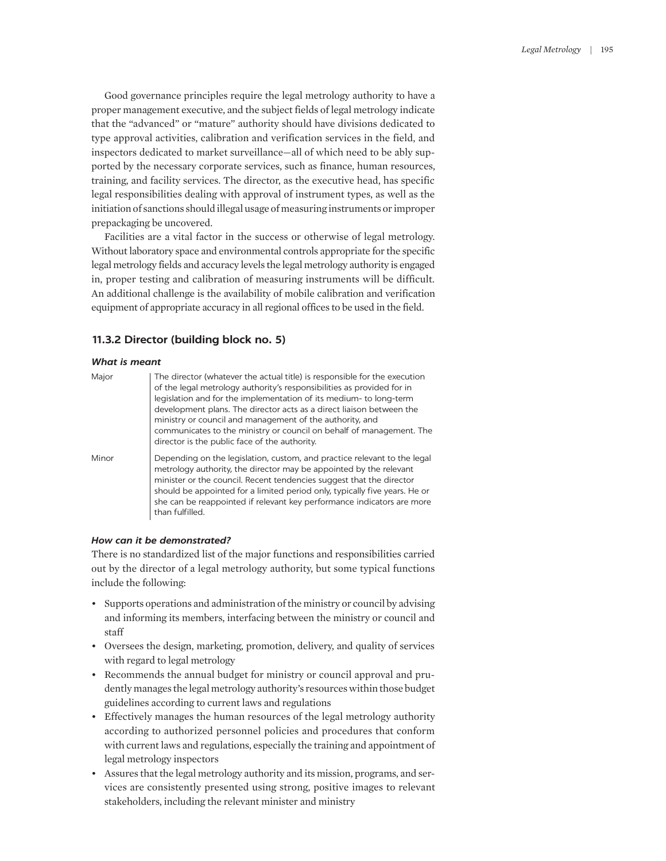Good governance principles require the legal metrology authority to have a proper management executive, and the subject fields of legal metrology indicate that the "advanced" or "mature" authority should have divisions dedicated to type approval activities, calibration and verification services in the field, and inspectors dedicated to market surveillance—all of which need to be ably supported by the necessary corporate services, such as finance, human resources, training, and facility services. The director, as the executive head, has specific legal responsibilities dealing with approval of instrument types, as well as the initiation of sanctions should illegal usage of measuring instruments or improper prepackaging be uncovered.

Facilities are a vital factor in the success or otherwise of legal metrology. Without laboratory space and environmental controls appropriate for the specific legal metrology fields and accuracy levels the legal metrology authority is engaged in, proper testing and calibration of measuring instruments will be difficult. An additional challenge is the availability of mobile calibration and verification equipment of appropriate accuracy in all regional offices to be used in the field.

# **11.3.2 Director (building block no. 5)**

### *What is meant*

| Major | The director (whatever the actual title) is responsible for the execution<br>of the legal metrology authority's responsibilities as provided for in<br>legislation and for the implementation of its medium- to long-term<br>development plans. The director acts as a direct liaison between the<br>ministry or council and management of the authority, and<br>communicates to the ministry or council on behalf of management. The<br>director is the public face of the authority. |
|-------|----------------------------------------------------------------------------------------------------------------------------------------------------------------------------------------------------------------------------------------------------------------------------------------------------------------------------------------------------------------------------------------------------------------------------------------------------------------------------------------|
| Minor | Depending on the legislation, custom, and practice relevant to the legal<br>metrology authority, the director may be appointed by the relevant<br>minister or the council. Recent tendencies suggest that the director<br>should be appointed for a limited period only, typically five years. He or<br>she can be reappointed if relevant key performance indicators are more<br>than fulfilled.                                                                                      |

# *How can it be demonstrated?*

There is no standardized list of the major functions and responsibilities carried out by the director of a legal metrology authority, but some typical functions include the following:

- Supports operations and administration of the ministry or council by advising and informing its members, interfacing between the ministry or council and staff
- Oversees the design, marketing, promotion, delivery, and quality of services with regard to legal metrology
- Recommends the annual budget for ministry or council approval and prudently manages the legal metrology authority's resources within those budget guidelines according to current laws and regulations
- Effectively manages the human resources of the legal metrology authority according to authorized personnel policies and procedures that conform with current laws and regulations, especially the training and appointment of legal metrology inspectors
- Assures that the legal metrology authority and its mission, programs, and services are consistently presented using strong, positive images to relevant stakeholders, including the relevant minister and ministry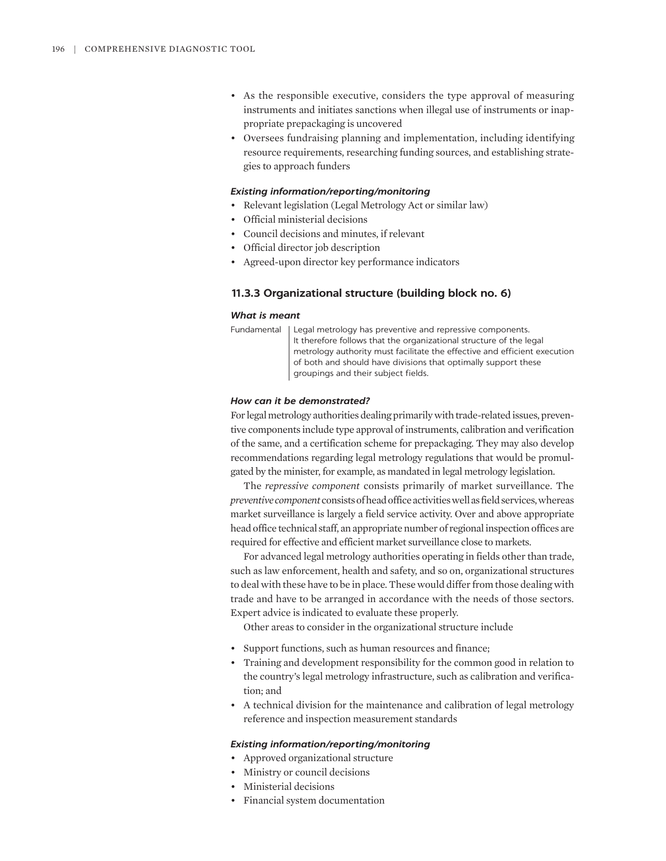- As the responsible executive, considers the type approval of measuring instruments and initiates sanctions when illegal use of instruments or inappropriate prepackaging is uncovered
- Oversees fundraising planning and implementation, including identifying resource requirements, researching funding sources, and establishing strategies to approach funders

### *Existing information/reporting/monitoring*

- Relevant legislation (Legal Metrology Act or similar law)
- Official ministerial decisions
- Council decisions and minutes, if relevant
- Official director job description
- Agreed-upon director key performance indicators

# **11.3.3 Organizational structure (building block no. 6)**

### *What is meant*

Fundamental | Legal metrology has preventive and repressive components. It therefore follows that the organizational structure of the legal metrology authority must facilitate the effective and efficient execution of both and should have divisions that optimally support these groupings and their subject fields.

# *How can it be demonstrated?*

For legal metrology authorities dealing primarily with trade-related issues, preventive components include type approval of instruments, calibration and verification of the same, and a certification scheme for prepackaging. They may also develop recommendations regarding legal metrology regulations that would be promulgated by the minister, for example, as mandated in legal metrology legislation.

The *repressive component* consists primarily of market surveillance. The *preventive component* consists of head office activities well as field services, whereas market surveillance is largely a field service activity. Over and above appropriate head office technical staff, an appropriate number of regional inspection offices are required for effective and efficient market surveillance close to markets.

For advanced legal metrology authorities operating in fields other than trade, such as law enforcement, health and safety, and so on, organizational structures to deal with these have to be in place. These would differ from those dealing with trade and have to be arranged in accordance with the needs of those sectors. Expert advice is indicated to evaluate these properly.

Other areas to consider in the organizational structure include

- Support functions, such as human resources and finance;
- Training and development responsibility for the common good in relation to the country's legal metrology infrastructure, such as calibration and verification; and
- A technical division for the maintenance and calibration of legal metrology reference and inspection measurement standards

- Approved organizational structure
- Ministry or council decisions
- Ministerial decisions
- Financial system documentation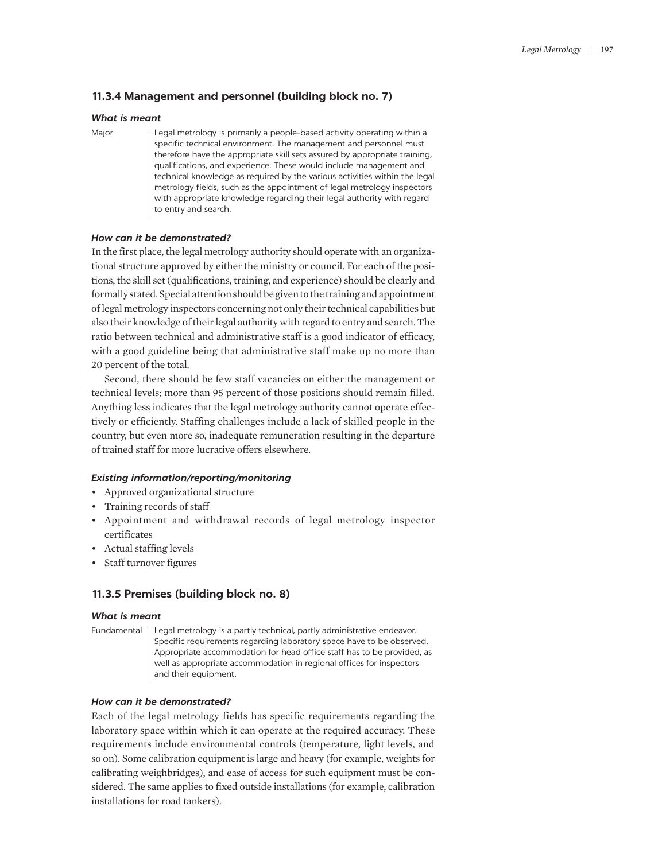# **11.3.4 Management and personnel (building block no. 7)**

# *What is meant*

Major | Legal metrology is primarily a people-based activity operating within a specific technical environment. The management and personnel must therefore have the appropriate skill sets assured by appropriate training, qualifications, and experience. These would include management and technical knowledge as required by the various activities within the legal metrology fields, such as the appointment of legal metrology inspectors with appropriate knowledge regarding their legal authority with regard to entry and search.

# *How can it be demonstrated?*

In the first place, the legal metrology authority should operate with an organizational structure approved by either the ministry or council. For each of the positions, the skill set (qualifications, training, and experience) should be clearly and formally stated. Special attention should be given to the training and appointment of legal metrology inspectors concerning not only their technical capabilities but also their knowledge of their legal authority with regard to entry and search. The ratio between technical and administrative staff is a good indicator of efficacy, with a good guideline being that administrative staff make up no more than 20 percent of the total.

Second, there should be few staff vacancies on either the management or technical levels; more than 95 percent of those positions should remain filled. Anything less indicates that the legal metrology authority cannot operate effectively or efficiently. Staffing challenges include a lack of skilled people in the country, but even more so, inadequate remuneration resulting in the departure of trained staff for more lucrative offers elsewhere.

# *Existing information/reporting/monitoring*

- Approved organizational structure
- Training records of staff
- Appointment and withdrawal records of legal metrology inspector certificates
- Actual staffing levels
- Staff turnover figures

# **11.3.5 Premises (building block no. 8)**

### *What is meant*

Fundamental Legal metrology is a partly technical, partly administrative endeavor. Specific requirements regarding laboratory space have to be observed. Appropriate accommodation for head office staff has to be provided, as well as appropriate accommodation in regional offices for inspectors and their equipment.

# *How can it be demonstrated?*

Each of the legal metrology fields has specific requirements regarding the laboratory space within which it can operate at the required accuracy. These requirements include environmental controls (temperature, light levels, and so on). Some calibration equipment is large and heavy (for example, weights for calibrating weighbridges), and ease of access for such equipment must be considered. The same applies to fixed outside installations (for example, calibration installations for road tankers).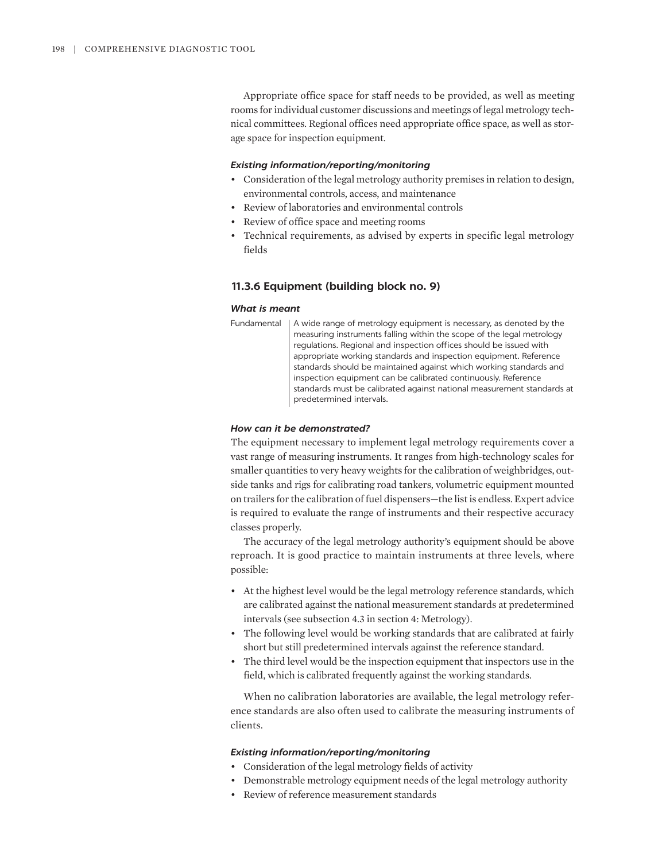Appropriate office space for staff needs to be provided, as well as meeting rooms for individual customer discussions and meetings of legal metrology technical committees. Regional offices need appropriate office space, as well as storage space for inspection equipment.

### *Existing information/reporting/monitoring*

- Consideration of the legal metrology authority premises in relation to design, environmental controls, access, and maintenance
- Review of laboratories and environmental controls
- Review of office space and meeting rooms
- Technical requirements, as advised by experts in specific legal metrology fields

# **11.3.6 Equipment (building block no. 9)**

### *What is meant*

Fundamental | A wide range of metrology equipment is necessary, as denoted by the measuring instruments falling within the scope of the legal metrology regulations. Regional and inspection offices should be issued with appropriate working standards and inspection equipment. Reference standards should be maintained against which working standards and inspection equipment can be calibrated continuously. Reference standards must be calibrated against national measurement standards at predetermined intervals.

# *How can it be demonstrated?*

The equipment necessary to implement legal metrology requirements cover a vast range of measuring instruments. It ranges from high-technology scales for smaller quantities to very heavy weights for the calibration of weighbridges, outside tanks and rigs for calibrating road tankers, volumetric equipment mounted on trailers for the calibration of fuel dispensers—the list is endless. Expert advice is required to evaluate the range of instruments and their respective accuracy classes properly.

The accuracy of the legal metrology authority's equipment should be above reproach. It is good practice to maintain instruments at three levels, where possible:

- At the highest level would be the legal metrology reference standards, which are calibrated against the national measurement standards at predetermined intervals (see subsection 4.3 in section 4: Metrology).
- The following level would be working standards that are calibrated at fairly short but still predetermined intervals against the reference standard.
- The third level would be the inspection equipment that inspectors use in the field, which is calibrated frequently against the working standards.

When no calibration laboratories are available, the legal metrology reference standards are also often used to calibrate the measuring instruments of clients.

- Consideration of the legal metrology fields of activity
- Demonstrable metrology equipment needs of the legal metrology authority
- Review of reference measurement standards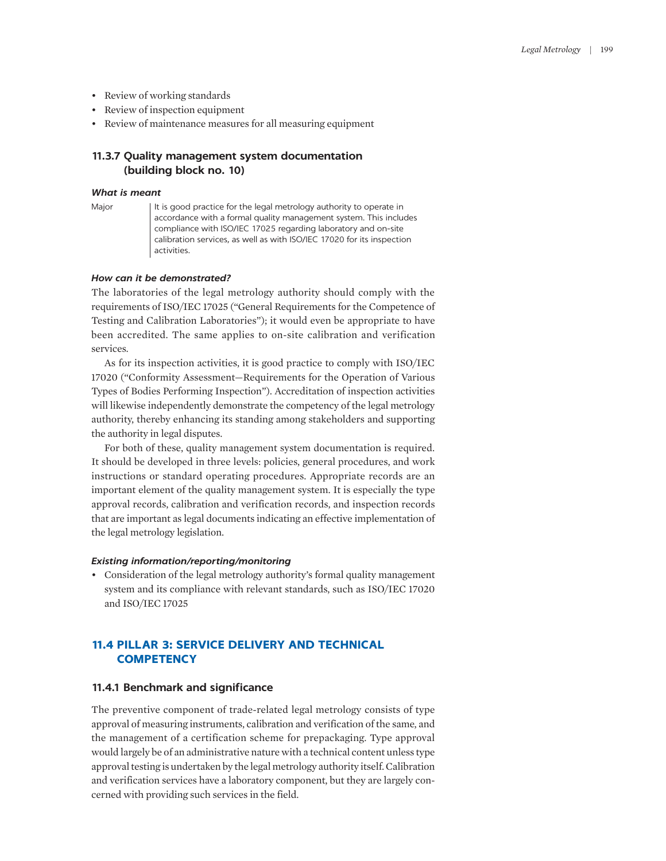- Review of working standards
- Review of inspection equipment
- Review of maintenance measures for all measuring equipment

# **11.3.7 Quality management system documentation (building block no. 10)**

# *What is meant*

Major | It is good practice for the legal metrology authority to operate in accordance with a formal quality management system. This includes compliance with ISO/IEC 17025 regarding laboratory and on-site calibration services, as well as with ISO/IEC 17020 for its inspection activities.

# *How can it be demonstrated?*

The laboratories of the legal metrology authority should comply with the requirements of ISO/IEC 17025 ("General Requirements for the Competence of Testing and Calibration Laboratories"); it would even be appropriate to have been accredited. The same applies to on-site calibration and verification services.

As for its inspection activities, it is good practice to comply with ISO/IEC 17020 ("Conformity Assessment—Requirements for the Operation of Various Types of Bodies Performing Inspection"). Accreditation of inspection activities will likewise independently demonstrate the competency of the legal metrology authority, thereby enhancing its standing among stakeholders and supporting the authority in legal disputes.

For both of these, quality management system documentation is required. It should be developed in three levels: policies, general procedures, and work instructions or standard operating procedures. Appropriate records are an important element of the quality management system. It is especially the type approval records, calibration and verification records, and inspection records that are important as legal documents indicating an effective implementation of the legal metrology legislation.

### *Existing information/reporting/monitoring*

• Consideration of the legal metrology authority's formal quality management system and its compliance with relevant standards, such as ISO/IEC 17020 and ISO/IEC 17025

# **11.4 PILLAR 3: SERVICE DELIVERY AND TECHNICAL COMPETENCY**

# **11.4.1 Benchmark and significance**

The preventive component of trade-related legal metrology consists of type approval of measuring instruments, calibration and verification of the same, and the management of a certification scheme for prepackaging. Type approval would largely be of an administrative nature with a technical content unless type approval testing is undertaken by the legal metrology authority itself. Calibration and verification services have a laboratory component, but they are largely concerned with providing such services in the field.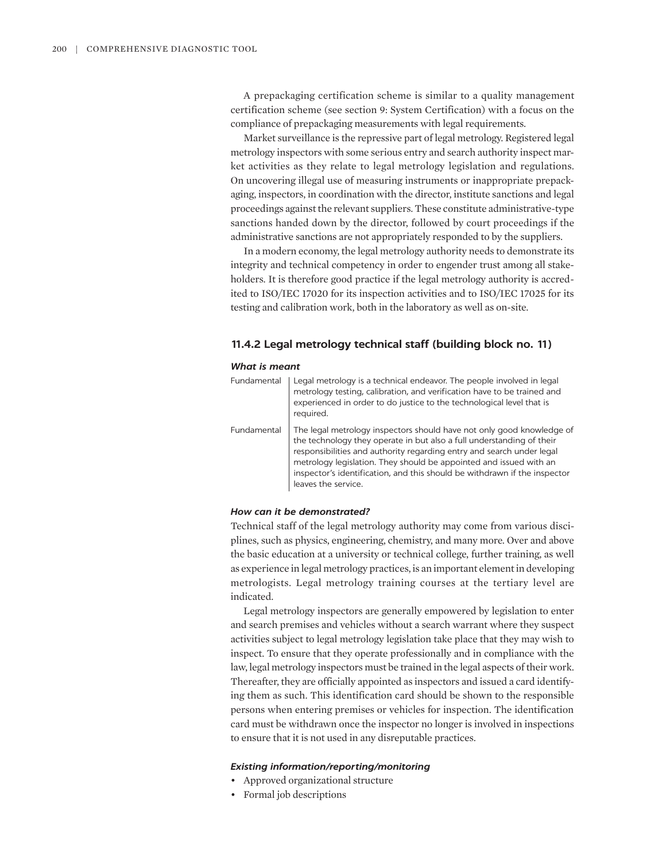A prepackaging certification scheme is similar to a quality management certification scheme (see section 9: System Certification) with a focus on the compliance of prepackaging measurements with legal requirements.

Market surveillance is the repressive part of legal metrology. Registered legal metrology inspectors with some serious entry and search authority inspect market activities as they relate to legal metrology legislation and regulations. On uncovering illegal use of measuring instruments or inappropriate prepackaging, inspectors, in coordination with the director, institute sanctions and legal proceedings against the relevant suppliers. These constitute administrative-type sanctions handed down by the director, followed by court proceedings if the administrative sanctions are not appropriately responded to by the suppliers.

In a modern economy, the legal metrology authority needs to demonstrate its integrity and technical competency in order to engender trust among all stakeholders. It is therefore good practice if the legal metrology authority is accredited to ISO/IEC 17020 for its inspection activities and to ISO/IEC 17025 for its testing and calibration work, both in the laboratory as well as on-site.

# **11.4.2 Legal metrology technical staff (building block no. 11)**

### *What is meant*

| Fundamental | Legal metrology is a technical endeavor. The people involved in legal<br>metrology testing, calibration, and verification have to be trained and<br>experienced in order to do justice to the technological level that is<br>required.                                                                                                                                                            |
|-------------|---------------------------------------------------------------------------------------------------------------------------------------------------------------------------------------------------------------------------------------------------------------------------------------------------------------------------------------------------------------------------------------------------|
| Fundamental | The legal metrology inspectors should have not only good knowledge of<br>the technology they operate in but also a full understanding of their<br>responsibilities and authority regarding entry and search under legal<br>metrology legislation. They should be appointed and issued with an<br>inspector's identification, and this should be withdrawn if the inspector<br>leaves the service. |

# *How can it be demonstrated?*

Technical staff of the legal metrology authority may come from various disciplines, such as physics, engineering, chemistry, and many more. Over and above the basic education at a university or technical college, further training, as well as experience in legal metrology practices, is an important element in developing metrologists. Legal metrology training courses at the tertiary level are indicated.

Legal metrology inspectors are generally empowered by legislation to enter and search premises and vehicles without a search warrant where they suspect activities subject to legal metrology legislation take place that they may wish to inspect. To ensure that they operate professionally and in compliance with the law, legal metrology inspectors must be trained in the legal aspects of their work. Thereafter, they are officially appointed as inspectors and issued a card identifying them as such. This identification card should be shown to the responsible persons when entering premises or vehicles for inspection. The identification card must be withdrawn once the inspector no longer is involved in inspections to ensure that it is not used in any disreputable practices.

- Approved organizational structure
- Formal job descriptions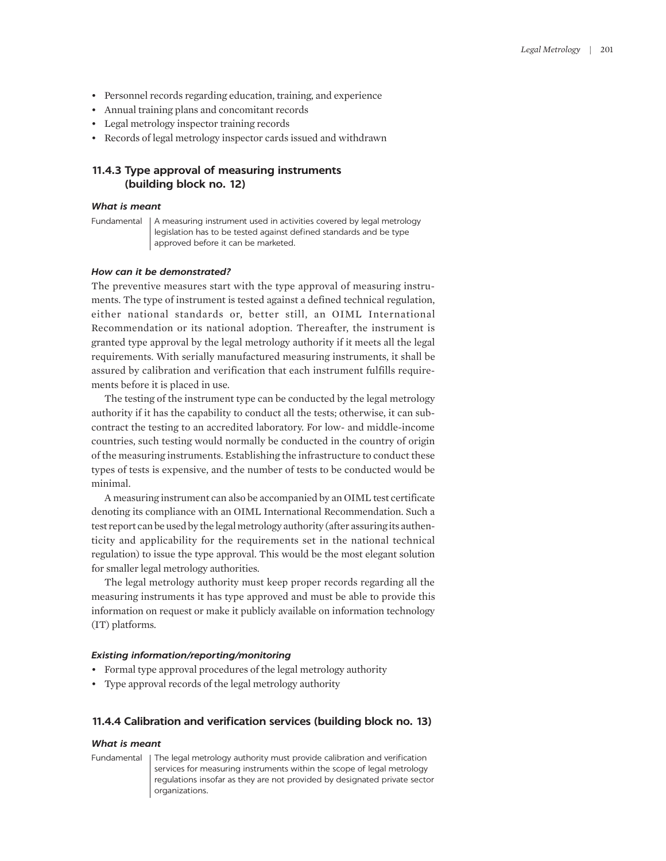- Personnel records regarding education, training, and experience
- Annual training plans and concomitant records
- Legal metrology inspector training records
- Records of legal metrology inspector cards issued and withdrawn

# **11.4.3 Type approval of measuring instruments (building block no. 12)**

### *What is meant*

Fundamental | A measuring instrument used in activities covered by legal metrology legislation has to be tested against defined standards and be type approved before it can be marketed.

### *How can it be demonstrated?*

The preventive measures start with the type approval of measuring instruments. The type of instrument is tested against a defined technical regulation, either national standards or, better still, an OIML International Recommendation or its national adoption. Thereafter, the instrument is granted type approval by the legal metrology authority if it meets all the legal requirements. With serially manufactured measuring instruments, it shall be assured by calibration and verification that each instrument fulfills requirements before it is placed in use.

The testing of the instrument type can be conducted by the legal metrology authority if it has the capability to conduct all the tests; otherwise, it can subcontract the testing to an accredited laboratory. For low- and middle-income countries, such testing would normally be conducted in the country of origin of the measuring instruments. Establishing the infrastructure to conduct these types of tests is expensive, and the number of tests to be conducted would be minimal.

A measuring instrument can also be accompanied by an OIML test certificate denoting its compliance with an OIML International Recommendation. Such a test report can be used by the legal metrology authority (after assuring its authenticity and applicability for the requirements set in the national technical regulation) to issue the type approval. This would be the most elegant solution for smaller legal metrology authorities.

The legal metrology authority must keep proper records regarding all the measuring instruments it has type approved and must be able to provide this information on request or make it publicly available on information technology (IT) platforms.

### *Existing information/reporting/monitoring*

- Formal type approval procedures of the legal metrology authority
- Type approval records of the legal metrology authority

### **11.4.4 Calibration and verification services (building block no. 13)**

### *What is meant*

Fundamental | The legal metrology authority must provide calibration and verification services for measuring instruments within the scope of legal metrology regulations insofar as they are not provided by designated private sector organizations.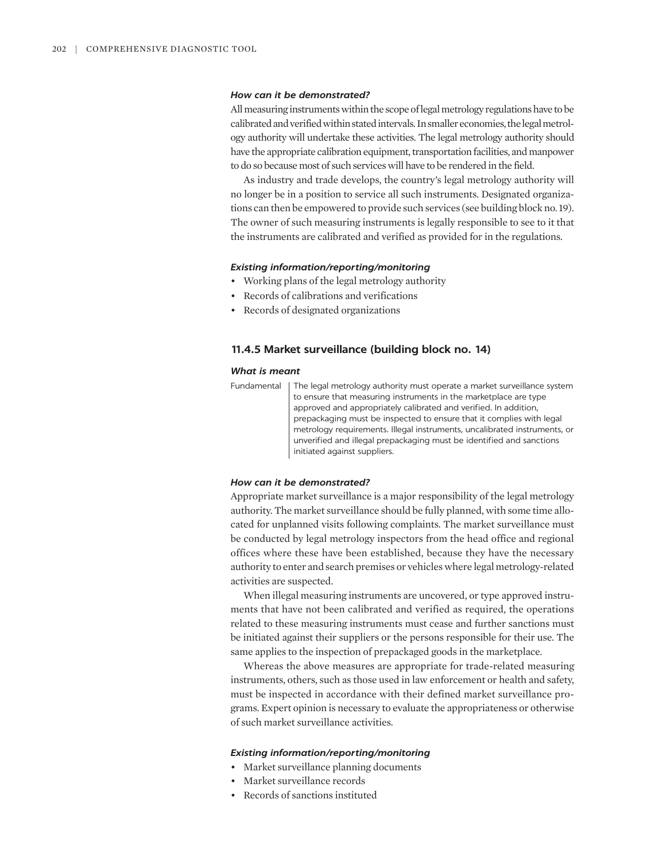### *How can it be demonstrated?*

All measuring instruments within the scope of legal metrology regulations have to be calibrated and verified within stated intervals. In smaller economies, the legal metrology authority will undertake these activities. The legal metrology authority should have the appropriate calibration equipment, transportation facilities, and manpower to do so because most of such services will have to be rendered in the field.

As industry and trade develops, the country's legal metrology authority will no longer be in a position to service all such instruments. Designated organizations can then be empowered to provide such services (see building block no. 19). The owner of such measuring instruments is legally responsible to see to it that the instruments are calibrated and verified as provided for in the regulations.

# *Existing information/reporting/monitoring*

- Working plans of the legal metrology authority
- Records of calibrations and verifications
- Records of designated organizations

# **11.4.5 Market surveillance (building block no. 14)**

### *What is meant*

Fundamental | The legal metrology authority must operate a market surveillance system to ensure that measuring instruments in the marketplace are type approved and appropriately calibrated and verified. In addition, prepackaging must be inspected to ensure that it complies with legal metrology requirements. Illegal instruments, uncalibrated instruments, or unverified and illegal prepackaging must be identified and sanctions initiated against suppliers.

### *How can it be demonstrated?*

Appropriate market surveillance is a major responsibility of the legal metrology authority. The market surveillance should be fully planned, with some time allocated for unplanned visits following complaints. The market surveillance must be conducted by legal metrology inspectors from the head office and regional offices where these have been established, because they have the necessary authority to enter and search premises or vehicles where legal metrology-related activities are suspected.

When illegal measuring instruments are uncovered, or type approved instruments that have not been calibrated and verified as required, the operations related to these measuring instruments must cease and further sanctions must be initiated against their suppliers or the persons responsible for their use. The same applies to the inspection of prepackaged goods in the marketplace.

Whereas the above measures are appropriate for trade-related measuring instruments, others, such as those used in law enforcement or health and safety, must be inspected in accordance with their defined market surveillance programs. Expert opinion is necessary to evaluate the appropriateness or otherwise of such market surveillance activities.

- Market surveillance planning documents
- Market surveillance records
- Records of sanctions instituted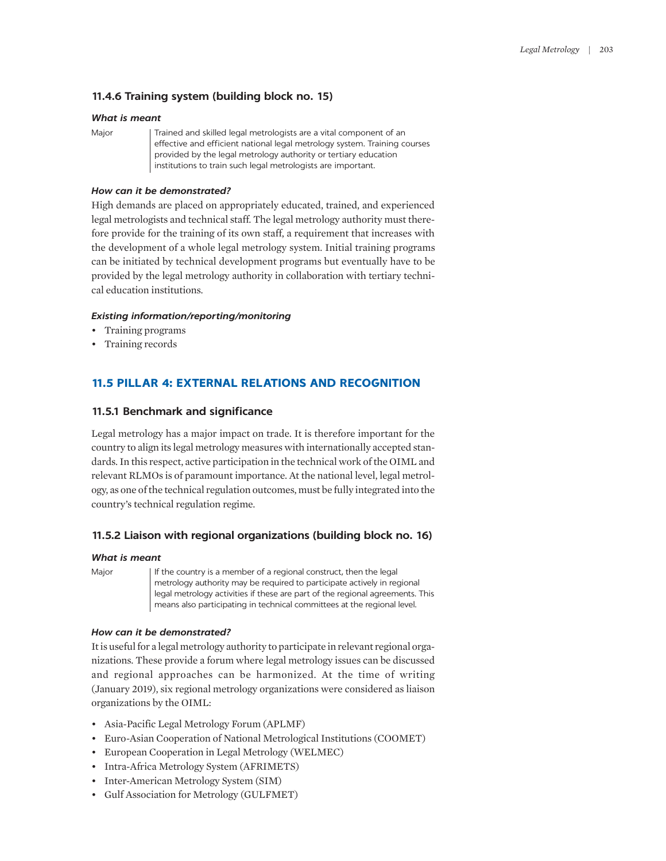# **11.4.6 Training system (building block no. 15)**

# *What is meant*

Major | Trained and skilled legal metrologists are a vital component of an effective and efficient national legal metrology system. Training courses provided by the legal metrology authority or tertiary education institutions to train such legal metrologists are important.

# *How can it be demonstrated?*

High demands are placed on appropriately educated, trained, and experienced legal metrologists and technical staff. The legal metrology authority must therefore provide for the training of its own staff, a requirement that increases with the development of a whole legal metrology system. Initial training programs can be initiated by technical development programs but eventually have to be provided by the legal metrology authority in collaboration with tertiary technical education institutions.

# *Existing information/reporting/monitoring*

- Training programs
- Training records

# **11.5 PILLAR 4: EXTERNAL RELATIONS AND RECOGNITION**

# **11.5.1 Benchmark and significance**

Legal metrology has a major impact on trade. It is therefore important for the country to align its legal metrology measures with internationally accepted standards. In this respect, active participation in the technical work of the OIML and relevant RLMOs is of paramount importance. At the national level, legal metrology, as one of the technical regulation outcomes, must be fully integrated into the country's technical regulation regime.

# **11.5.2 Liaison with regional organizations (building block no. 16)**

### *What is meant*

Major If the country is a member of a regional construct, then the legal metrology authority may be required to participate actively in regional legal metrology activities if these are part of the regional agreements. This means also participating in technical committees at the regional level.

# *How can it be demonstrated?*

It is useful for a legal metrology authority to participate in relevant regional organizations. These provide a forum where legal metrology issues can be discussed and regional approaches can be harmonized. At the time of writing (January 2019), six regional metrology organizations were considered as liaison organizations by the OIML:

- Asia-Pacific Legal Metrology Forum (APLMF)
- Euro-Asian Cooperation of National Metrological Institutions (COOMET)
- European Cooperation in Legal Metrology (WELMEC)
- Intra-Africa Metrology System (AFRIMETS)
- Inter-American Metrology System (SIM)
- Gulf Association for Metrology (GULFMET)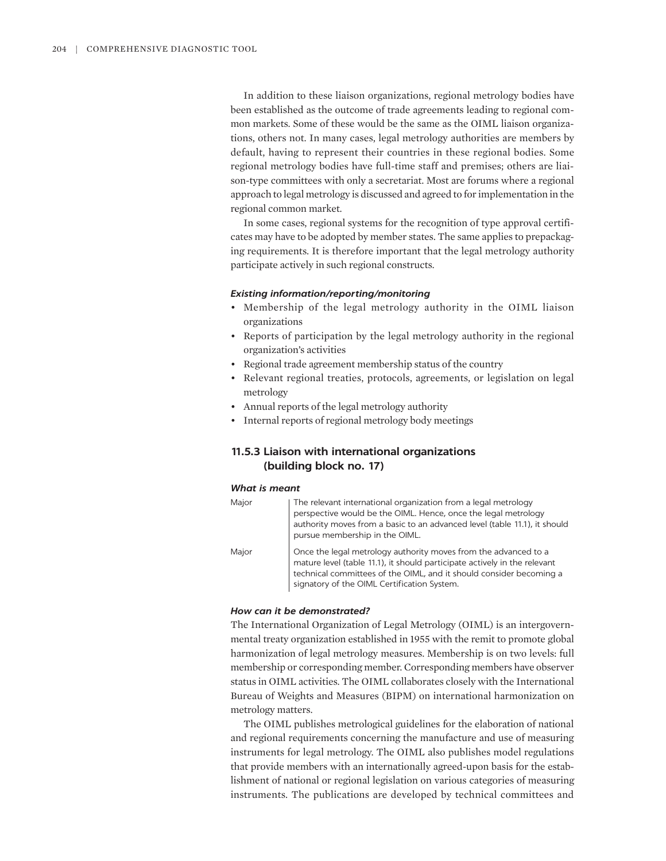In addition to these liaison organizations, regional metrology bodies have been established as the outcome of trade agreements leading to regional common markets. Some of these would be the same as the OIML liaison organizations, others not. In many cases, legal metrology authorities are members by default, having to represent their countries in these regional bodies. Some regional metrology bodies have full-time staff and premises; others are liaison-type committees with only a secretariat. Most are forums where a regional approach to legal metrology is discussed and agreed to for implementation in the regional common market.

In some cases, regional systems for the recognition of type approval certificates may have to be adopted by member states. The same applies to prepackaging requirements. It is therefore important that the legal metrology authority participate actively in such regional constructs.

# *Existing information/reporting/monitoring*

- Membership of the legal metrology authority in the OIML liaison organizations
- Reports of participation by the legal metrology authority in the regional organization's activities
- Regional trade agreement membership status of the country
- Relevant regional treaties, protocols, agreements, or legislation on legal metrology
- Annual reports of the legal metrology authority
- Internal reports of regional metrology body meetings

# **11.5.3 Liaison with international organizations (building block no. 17)**

### *What is meant*

| Major | The relevant international organization from a legal metrology<br>perspective would be the OIML. Hence, once the legal metrology<br>authority moves from a basic to an advanced level (table 11.1), it should<br>pursue membership in the OIML.                    |
|-------|--------------------------------------------------------------------------------------------------------------------------------------------------------------------------------------------------------------------------------------------------------------------|
| Major | Once the legal metrology authority moves from the advanced to a<br>mature level (table 11.1), it should participate actively in the relevant<br>technical committees of the OIML, and it should consider becoming a<br>signatory of the OIML Certification System. |

### *How can it be demonstrated?*

The International Organization of Legal Metrology (OIML) is an intergovernmental treaty organization established in 1955 with the remit to promote global harmonization of legal metrology measures. Membership is on two levels: full membership or corresponding member. Corresponding members have observer status in OIML activities. The OIML collaborates closely with the International Bureau of Weights and Measures (BIPM) on international harmonization on metrology matters.

The OIML publishes metrological guidelines for the elaboration of national and regional requirements concerning the manufacture and use of measuring instruments for legal metrology. The OIML also publishes model regulations that provide members with an internationally agreed-upon basis for the establishment of national or regional legislation on various categories of measuring instruments. The publications are developed by technical committees and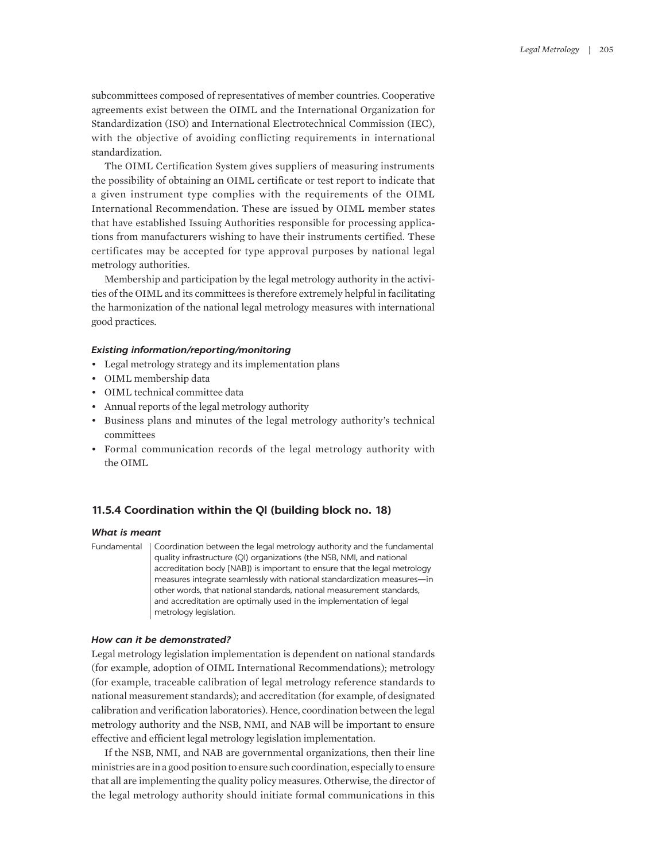subcommittees composed of representatives of member countries. Cooperative agreements exist between the OIML and the International Organization for Standardization (ISO) and International Electrotechnical Commission (IEC), with the objective of avoiding conflicting requirements in international standardization.

The OIML Certification System gives suppliers of measuring instruments the possibility of obtaining an OIML certificate or test report to indicate that a given instrument type complies with the requirements of the OIML International Recommendation. These are issued by OIML member states that have established Issuing Authorities responsible for processing applications from manufacturers wishing to have their instruments certified. These certificates may be accepted for type approval purposes by national legal metrology authorities.

Membership and participation by the legal metrology authority in the activities of the OIML and its committees is therefore extremely helpful in facilitating the harmonization of the national legal metrology measures with international good practices.

### *Existing information/reporting/monitoring*

- Legal metrology strategy and its implementation plans
- OIML membership data
- OIML technical committee data
- Annual reports of the legal metrology authority
- Business plans and minutes of the legal metrology authority's technical committees
- Formal communication records of the legal metrology authority with the OIML

# **11.5.4 Coordination within the QI (building block no. 18)**

# *What is meant*

Fundamental | Coordination between the legal metrology authority and the fundamental quality infrastructure (QI) organizations (the NSB, NMI, and national accreditation body [NAB]) is important to ensure that the legal metrology measures integrate seamlessly with national standardization measures—in other words, that national standards, national measurement standards, and accreditation are optimally used in the implementation of legal metrology legislation.

# *How can it be demonstrated?*

Legal metrology legislation implementation is dependent on national standards (for example, adoption of OIML International Recommendations); metrology (for example, traceable calibration of legal metrology reference standards to national measurement standards); and accreditation (for example, of designated calibration and verification laboratories). Hence, coordination between the legal metrology authority and the NSB, NMI, and NAB will be important to ensure effective and efficient legal metrology legislation implementation.

If the NSB, NMI, and NAB are governmental organizations, then their line ministries are in a good position to ensure such coordination, especially to ensure that all are implementing the quality policy measures. Otherwise, the director of the legal metrology authority should initiate formal communications in this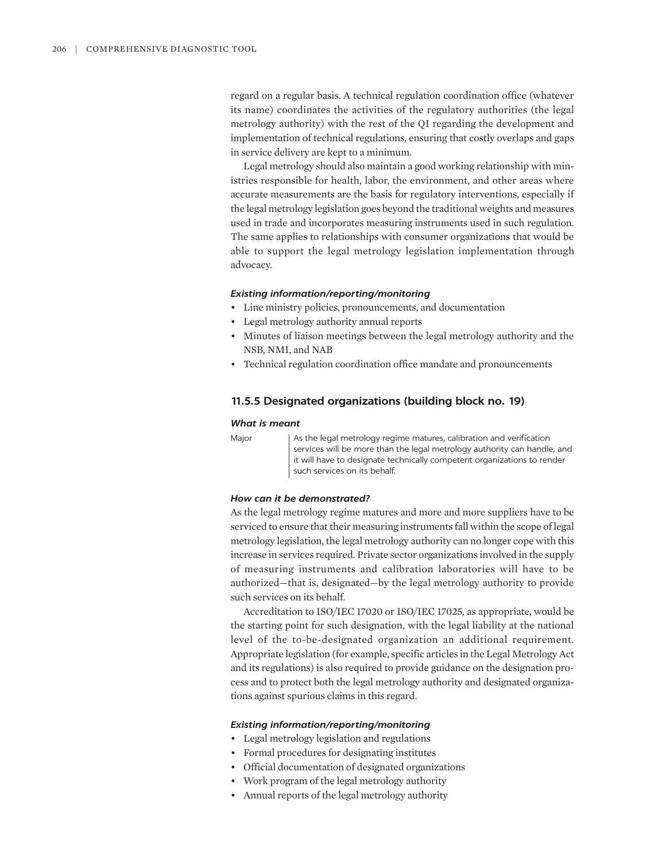regard on a regular basis. A technical regulation coordination office (whatever its name) coordinates the activities of the regulatory authorities (the legal metrology authority) with the rest of the QI regarding the development and implementation of technical regulations, ensuring that costly overlaps and gaps in service delivery are kept to a minimum.

Legal metrology should also maintain a good working relationship with ministries responsible for health, labor, the environment, and other areas where accurate measurements are the basis for regulatory interventions, especially if the legal metrology legislation goes beyond the traditional weights and measures used in trade and incorporates measuring instruments used in such regulation. The same applies to relationships with consumer organizations that would be able to support the legal metrology legislation implementation through advocacy.

# *Existing information/reporting/monitoring*

- Line ministry policies, pronouncements, and documentation
- Legal metrology authority annual reports
- Minutes of liaison meetings between the legal metrology authority and the NSB, NMI, and NAB
- Technical regulation coordination office mandate and pronouncements

# **11.5.5 Designated organizations (building block no. 19)**

### *What is meant*

Major and As the legal metrology regime matures, calibration and verification services will be more than the legal metrology authority can handle, and it will have to designate technically competent organizations to render such services on its behalf.

### *How can it be demonstrated?*

As the legal metrology regime matures and more and more suppliers have to be serviced to ensure that their measuring instruments fall within the scope of legal metrology legislation, the legal metrology authority can no longer cope with this increase in services required. Private sector organizations involved in the supply of measuring instruments and calibration laboratories will have to be authorized—that is, designated—by the legal metrology authority to provide such services on its behalf.

Accreditation to ISO/IEC 17020 or ISO/IEC 17025, as appropriate, would be the starting point for such designation, with the legal liability at the national level of the to-be-designated organization an additional requirement. Appropriate legislation (for example, specific articles in the Legal Metrology Act and its regulations) is also required to provide guidance on the designation process and to protect both the legal metrology authority and designated organizations against spurious claims in this regard.

- Legal metrology legislation and regulations
- Formal procedures for designating institutes
- Official documentation of designated organizations
- Work program of the legal metrology authority
- Annual reports of the legal metrology authority